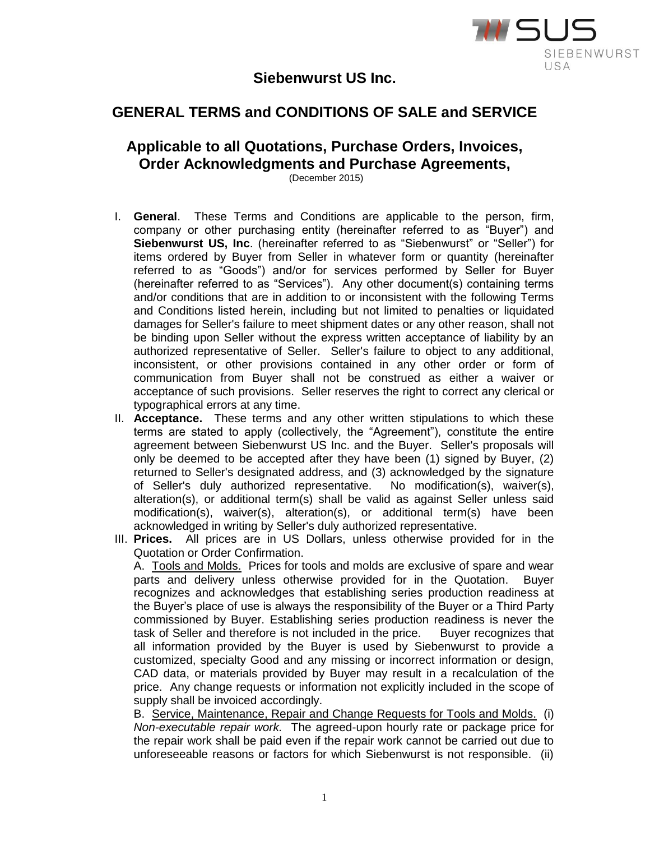

## **Siebenwurst US Inc.**

## **GENERAL TERMS and CONDITIONS OF SALE and SERVICE**

## **Applicable to all Quotations, Purchase Orders, Invoices, Order Acknowledgments and Purchase Agreements,**

(December 2015)

- I. **General**. These Terms and Conditions are applicable to the person, firm, company or other purchasing entity (hereinafter referred to as "Buyer") and **Siebenwurst US, Inc**. (hereinafter referred to as "Siebenwurst" or "Seller") for items ordered by Buyer from Seller in whatever form or quantity (hereinafter referred to as "Goods") and/or for services performed by Seller for Buyer (hereinafter referred to as "Services"). Any other document(s) containing terms and/or conditions that are in addition to or inconsistent with the following Terms and Conditions listed herein, including but not limited to penalties or liquidated damages for Seller's failure to meet shipment dates or any other reason, shall not be binding upon Seller without the express written acceptance of liability by an authorized representative of Seller. Seller's failure to object to any additional, inconsistent, or other provisions contained in any other order or form of communication from Buyer shall not be construed as either a waiver or acceptance of such provisions. Seller reserves the right to correct any clerical or typographical errors at any time.
- II. **Acceptance.** These terms and any other written stipulations to which these terms are stated to apply (collectively, the "Agreement"), constitute the entire agreement between Siebenwurst US Inc. and the Buyer. Seller's proposals will only be deemed to be accepted after they have been (1) signed by Buyer, (2) returned to Seller's designated address, and (3) acknowledged by the signature of Seller's duly authorized representative. No modification(s), waiver(s), alteration(s), or additional term(s) shall be valid as against Seller unless said modification(s), waiver(s), alteration(s), or additional term(s) have been acknowledged in writing by Seller's duly authorized representative.
- III. **Prices.** All prices are in US Dollars, unless otherwise provided for in the Quotation or Order Confirmation.

A. Tools and Molds. Prices for tools and molds are exclusive of spare and wear parts and delivery unless otherwise provided for in the Quotation. Buyer recognizes and acknowledges that establishing series production readiness at the Buyer's place of use is always the responsibility of the Buyer or a Third Party commissioned by Buyer. Establishing series production readiness is never the task of Seller and therefore is not included in the price. Buyer recognizes that all information provided by the Buyer is used by Siebenwurst to provide a customized, specialty Good and any missing or incorrect information or design, CAD data, or materials provided by Buyer may result in a recalculation of the price. Any change requests or information not explicitly included in the scope of supply shall be invoiced accordingly.

B. Service, Maintenance, Repair and Change Requests for Tools and Molds. (i) *Non-executable repair work.* The agreed-upon hourly rate or package price for the repair work shall be paid even if the repair work cannot be carried out due to unforeseeable reasons or factors for which Siebenwurst is not responsible. (ii)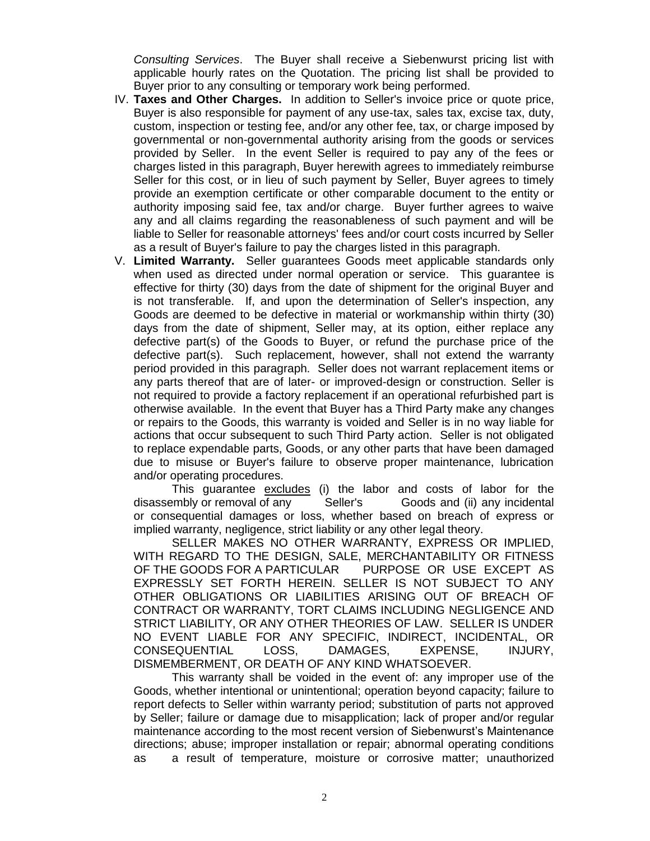*Consulting Services*. The Buyer shall receive a Siebenwurst pricing list with applicable hourly rates on the Quotation. The pricing list shall be provided to Buyer prior to any consulting or temporary work being performed.

- IV. **Taxes and Other Charges.** In addition to Seller's invoice price or quote price, Buyer is also responsible for payment of any use-tax, sales tax, excise tax, duty, custom, inspection or testing fee, and/or any other fee, tax, or charge imposed by governmental or non-governmental authority arising from the goods or services provided by Seller. In the event Seller is required to pay any of the fees or charges listed in this paragraph, Buyer herewith agrees to immediately reimburse Seller for this cost, or in lieu of such payment by Seller, Buyer agrees to timely provide an exemption certificate or other comparable document to the entity or authority imposing said fee, tax and/or charge. Buyer further agrees to waive any and all claims regarding the reasonableness of such payment and will be liable to Seller for reasonable attorneys' fees and/or court costs incurred by Seller as a result of Buyer's failure to pay the charges listed in this paragraph.
- V. **Limited Warranty.** Seller guarantees Goods meet applicable standards only when used as directed under normal operation or service. This guarantee is effective for thirty (30) days from the date of shipment for the original Buyer and is not transferable. If, and upon the determination of Seller's inspection, any Goods are deemed to be defective in material or workmanship within thirty (30) days from the date of shipment, Seller may, at its option, either replace any defective part(s) of the Goods to Buyer, or refund the purchase price of the defective part(s). Such replacement, however, shall not extend the warranty period provided in this paragraph. Seller does not warrant replacement items or any parts thereof that are of later- or improved-design or construction. Seller is not required to provide a factory replacement if an operational refurbished part is otherwise available. In the event that Buyer has a Third Party make any changes or repairs to the Goods, this warranty is voided and Seller is in no way liable for actions that occur subsequent to such Third Party action. Seller is not obligated to replace expendable parts, Goods, or any other parts that have been damaged due to misuse or Buyer's failure to observe proper maintenance, lubrication and/or operating procedures.

This guarantee excludes (i) the labor and costs of labor for the disassembly or removal of any Seller's Goods and (ii) any incidental or consequential damages or loss, whether based on breach of express or implied warranty, negligence, strict liability or any other legal theory.

SELLER MAKES NO OTHER WARRANTY, EXPRESS OR IMPLIED, WITH REGARD TO THE DESIGN, SALE, MERCHANTABILITY OR FITNESS OF THE GOODS FOR A PARTICULAR PURPOSE OR USE EXCEPT AS EXPRESSLY SET FORTH HEREIN. SELLER IS NOT SUBJECT TO ANY OTHER OBLIGATIONS OR LIABILITIES ARISING OUT OF BREACH OF CONTRACT OR WARRANTY, TORT CLAIMS INCLUDING NEGLIGENCE AND STRICT LIABILITY, OR ANY OTHER THEORIES OF LAW. SELLER IS UNDER NO EVENT LIABLE FOR ANY SPECIFIC, INDIRECT, INCIDENTAL, OR CONSEQUENTIAL LOSS, DAMAGES, EXPENSE, INJURY, DISMEMBERMENT, OR DEATH OF ANY KIND WHATSOEVER.

This warranty shall be voided in the event of: any improper use of the Goods, whether intentional or unintentional; operation beyond capacity; failure to report defects to Seller within warranty period; substitution of parts not approved by Seller; failure or damage due to misapplication; lack of proper and/or regular maintenance according to the most recent version of Siebenwurst's Maintenance directions; abuse; improper installation or repair; abnormal operating conditions as a result of temperature, moisture or corrosive matter; unauthorized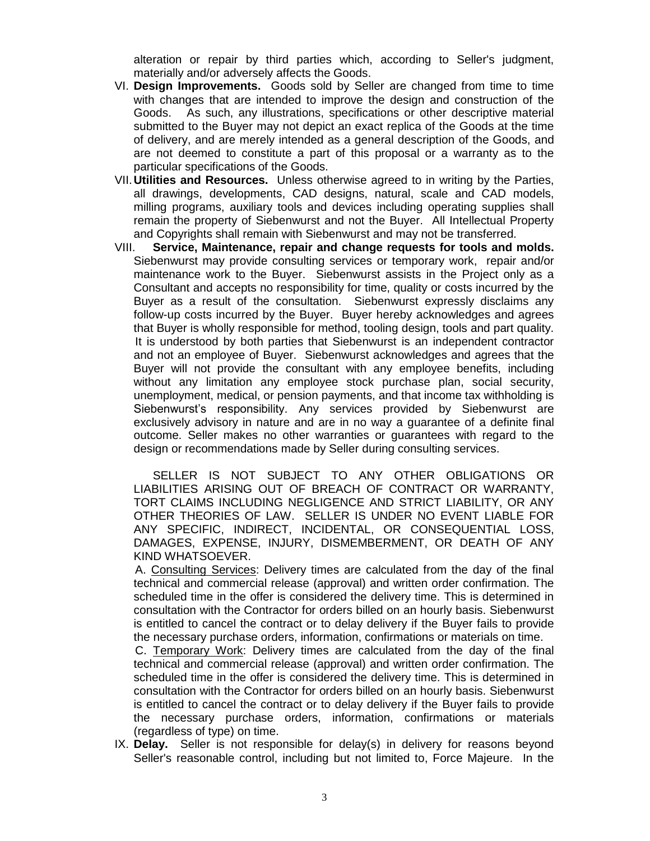alteration or repair by third parties which, according to Seller's judgment, materially and/or adversely affects the Goods.

- VI. **Design Improvements.** Goods sold by Seller are changed from time to time with changes that are intended to improve the design and construction of the Goods. As such, any illustrations, specifications or other descriptive material submitted to the Buyer may not depict an exact replica of the Goods at the time of delivery, and are merely intended as a general description of the Goods, and are not deemed to constitute a part of this proposal or a warranty as to the particular specifications of the Goods.
- VII.**Utilities and Resources.** Unless otherwise agreed to in writing by the Parties, all drawings, developments, CAD designs, natural, scale and CAD models, milling programs, auxiliary tools and devices including operating supplies shall remain the property of Siebenwurst and not the Buyer. All Intellectual Property and Copyrights shall remain with Siebenwurst and may not be transferred.
- VIII. **Service, Maintenance, repair and change requests for tools and molds.**  Siebenwurst may provide consulting services or temporary work, repair and/or maintenance work to the Buyer. Siebenwurst assists in the Project only as a Consultant and accepts no responsibility for time, quality or costs incurred by the Buyer as a result of the consultation. Siebenwurst expressly disclaims any follow-up costs incurred by the Buyer. Buyer hereby acknowledges and agrees that Buyer is wholly responsible for method, tooling design, tools and part quality. It is understood by both parties that Siebenwurst is an independent contractor and not an employee of Buyer. Siebenwurst acknowledges and agrees that the Buyer will not provide the consultant with any employee benefits, including without any limitation any employee stock purchase plan, social security, unemployment, medical, or pension payments, and that income tax withholding is Siebenwurst's responsibility. Any services provided by Siebenwurst are exclusively advisory in nature and are in no way a guarantee of a definite final outcome. Seller makes no other warranties or guarantees with regard to the design or recommendations made by Seller during consulting services.

SELLER IS NOT SUBJECT TO ANY OTHER OBLIGATIONS OR LIABILITIES ARISING OUT OF BREACH OF CONTRACT OR WARRANTY, TORT CLAIMS INCLUDING NEGLIGENCE AND STRICT LIABILITY, OR ANY OTHER THEORIES OF LAW. SELLER IS UNDER NO EVENT LIABLE FOR ANY SPECIFIC, INDIRECT, INCIDENTAL, OR CONSEQUENTIAL LOSS, DAMAGES, EXPENSE, INJURY, DISMEMBERMENT, OR DEATH OF ANY KIND WHATSOEVER.

A. Consulting Services: Delivery times are calculated from the day of the final technical and commercial release (approval) and written order confirmation. The scheduled time in the offer is considered the delivery time. This is determined in consultation with the Contractor for orders billed on an hourly basis. Siebenwurst is entitled to cancel the contract or to delay delivery if the Buyer fails to provide the necessary purchase orders, information, confirmations or materials on time.

C. Temporary Work: Delivery times are calculated from the day of the final technical and commercial release (approval) and written order confirmation. The scheduled time in the offer is considered the delivery time. This is determined in consultation with the Contractor for orders billed on an hourly basis. Siebenwurst is entitled to cancel the contract or to delay delivery if the Buyer fails to provide the necessary purchase orders, information, confirmations or materials (regardless of type) on time.

IX. **Delay.** Seller is not responsible for delay(s) in delivery for reasons beyond Seller's reasonable control, including but not limited to, Force Majeure. In the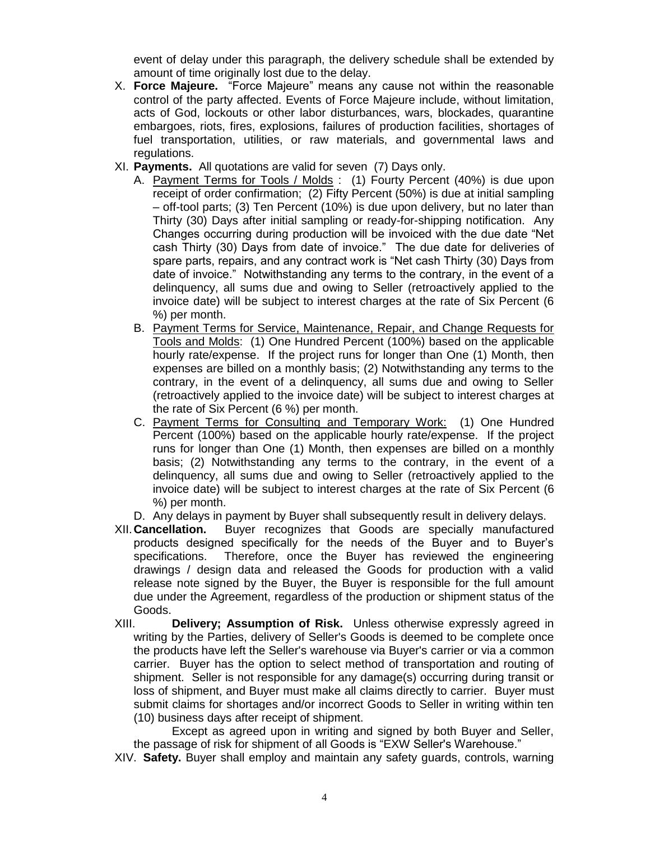event of delay under this paragraph, the delivery schedule shall be extended by amount of time originally lost due to the delay.

- X. **Force Majeure.** "Force Majeure" means any cause not within the reasonable control of the party affected. Events of Force Majeure include, without limitation, acts of God, lockouts or other labor disturbances, wars, blockades, quarantine embargoes, riots, fires, explosions, failures of production facilities, shortages of fuel transportation, utilities, or raw materials, and governmental laws and regulations.
- XI. **Payments.** All quotations are valid for seven (7) Days only.
	- A. Payment Terms for Tools / Molds : (1) Fourty Percent (40%) is due upon receipt of order confirmation; (2) Fifty Percent (50%) is due at initial sampling – off-tool parts; (3) Ten Percent (10%) is due upon delivery, but no later than Thirty (30) Days after initial sampling or ready-for-shipping notification. Any Changes occurring during production will be invoiced with the due date "Net cash Thirty (30) Days from date of invoice." The due date for deliveries of spare parts, repairs, and any contract work is "Net cash Thirty (30) Days from date of invoice." Notwithstanding any terms to the contrary, in the event of a delinquency, all sums due and owing to Seller (retroactively applied to the invoice date) will be subject to interest charges at the rate of Six Percent (6 %) per month.
	- B. Payment Terms for Service, Maintenance, Repair, and Change Requests for Tools and Molds: (1) One Hundred Percent (100%) based on the applicable hourly rate/expense. If the project runs for longer than One (1) Month, then expenses are billed on a monthly basis; (2) Notwithstanding any terms to the contrary, in the event of a delinquency, all sums due and owing to Seller (retroactively applied to the invoice date) will be subject to interest charges at the rate of Six Percent (6 %) per month.
	- C. Payment Terms for Consulting and Temporary Work: (1) One Hundred Percent (100%) based on the applicable hourly rate/expense. If the project runs for longer than One (1) Month, then expenses are billed on a monthly basis; (2) Notwithstanding any terms to the contrary, in the event of a delinquency, all sums due and owing to Seller (retroactively applied to the invoice date) will be subject to interest charges at the rate of Six Percent (6 %) per month.
	- D. Any delays in payment by Buyer shall subsequently result in delivery delays.
- XII.**Cancellation.** Buyer recognizes that Goods are specially manufactured products designed specifically for the needs of the Buyer and to Buyer's specifications. Therefore, once the Buyer has reviewed the engineering drawings / design data and released the Goods for production with a valid release note signed by the Buyer, the Buyer is responsible for the full amount due under the Agreement, regardless of the production or shipment status of the Goods.
- XIII. **Delivery; Assumption of Risk.** Unless otherwise expressly agreed in writing by the Parties, delivery of Seller's Goods is deemed to be complete once the products have left the Seller's warehouse via Buyer's carrier or via a common carrier. Buyer has the option to select method of transportation and routing of shipment. Seller is not responsible for any damage(s) occurring during transit or loss of shipment, and Buyer must make all claims directly to carrier. Buyer must submit claims for shortages and/or incorrect Goods to Seller in writing within ten (10) business days after receipt of shipment.

Except as agreed upon in writing and signed by both Buyer and Seller, the passage of risk for shipment of all Goods is "EXW Seller's Warehouse."

XIV. **Safety.** Buyer shall employ and maintain any safety guards, controls, warning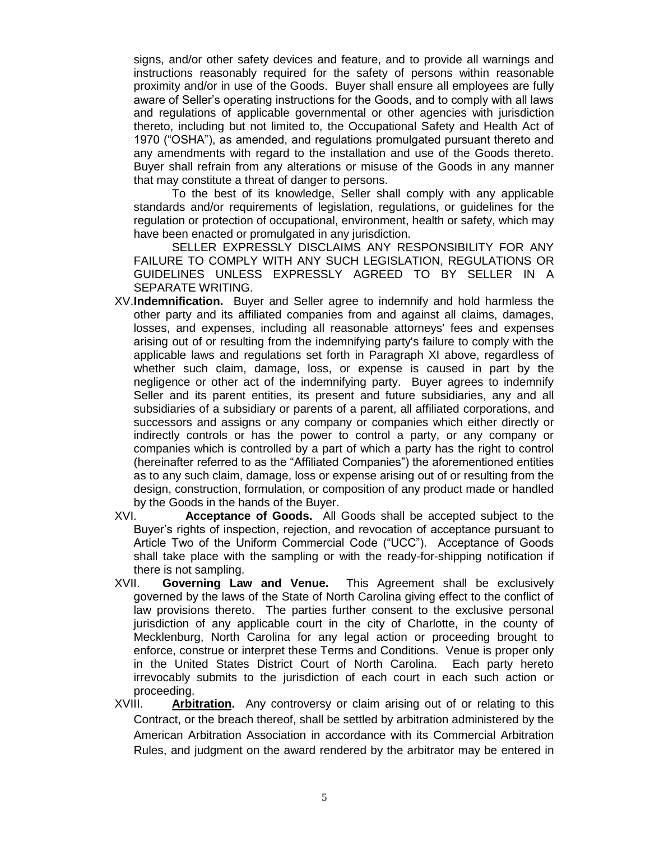signs, and/or other safety devices and feature, and to provide all warnings and instructions reasonably required for the safety of persons within reasonable proximity and/or in use of the Goods. Buyer shall ensure all employees are fully aware of Seller's operating instructions for the Goods, and to comply with all laws and regulations of applicable governmental or other agencies with jurisdiction thereto, including but not limited to, the Occupational Safety and Health Act of 1970 ("OSHA"), as amended, and regulations promulgated pursuant thereto and any amendments with regard to the installation and use of the Goods thereto. Buyer shall refrain from any alterations or misuse of the Goods in any manner that may constitute a threat of danger to persons.

To the best of its knowledge, Seller shall comply with any applicable standards and/or requirements of legislation, regulations, or guidelines for the regulation or protection of occupational, environment, health or safety, which may have been enacted or promulgated in any jurisdiction.

SELLER EXPRESSLY DISCLAIMS ANY RESPONSIBILITY FOR ANY FAILURE TO COMPLY WITH ANY SUCH LEGISLATION, REGULATIONS OR GUIDELINES UNLESS EXPRESSLY AGREED TO BY SELLER IN A SEPARATE WRITING.

- XV.**Indemnification.** Buyer and Seller agree to indemnify and hold harmless the other party and its affiliated companies from and against all claims, damages, losses, and expenses, including all reasonable attorneys' fees and expenses arising out of or resulting from the indemnifying party's failure to comply with the applicable laws and regulations set forth in Paragraph XI above, regardless of whether such claim, damage, loss, or expense is caused in part by the negligence or other act of the indemnifying party. Buyer agrees to indemnify Seller and its parent entities, its present and future subsidiaries, any and all subsidiaries of a subsidiary or parents of a parent, all affiliated corporations, and successors and assigns or any company or companies which either directly or indirectly controls or has the power to control a party, or any company or companies which is controlled by a part of which a party has the right to control (hereinafter referred to as the "Affiliated Companies") the aforementioned entities as to any such claim, damage, loss or expense arising out of or resulting from the design, construction, formulation, or composition of any product made or handled by the Goods in the hands of the Buyer.
- XVI. **Acceptance of Goods.** All Goods shall be accepted subject to the Buyer's rights of inspection, rejection, and revocation of acceptance pursuant to Article Two of the Uniform Commercial Code ("UCC"). Acceptance of Goods shall take place with the sampling or with the ready-for-shipping notification if there is not sampling.
- XVII. **Governing Law and Venue.** This Agreement shall be exclusively governed by the laws of the State of North Carolina giving effect to the conflict of law provisions thereto. The parties further consent to the exclusive personal jurisdiction of any applicable court in the city of Charlotte, in the county of Mecklenburg, North Carolina for any legal action or proceeding brought to enforce, construe or interpret these Terms and Conditions. Venue is proper only in the United States District Court of North Carolina. Each party hereto irrevocably submits to the jurisdiction of each court in each such action or proceeding.
- XVIII. **Arbitration.** Any controversy or claim arising out of or relating to this Contract, or the breach thereof, shall be settled by arbitration administered by the American Arbitration Association in accordance with its Commercial Arbitration Rules, and judgment on the award rendered by the arbitrator may be entered in